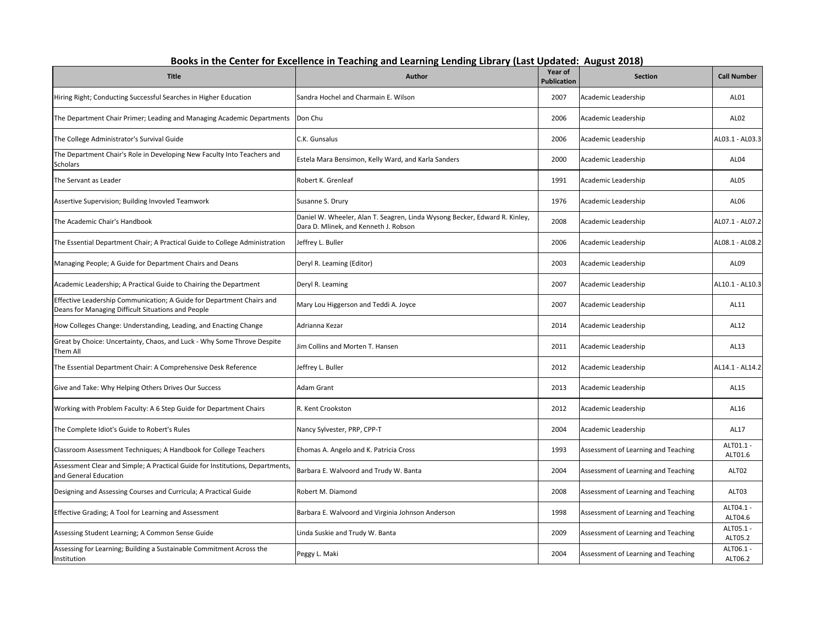| <b>Title</b>                                                                                                                | Author                                                                                                              | Year of<br><b>Publication</b> | <b>Section</b>                      | <b>Call Number</b>   |
|-----------------------------------------------------------------------------------------------------------------------------|---------------------------------------------------------------------------------------------------------------------|-------------------------------|-------------------------------------|----------------------|
| Hiring Right; Conducting Successful Searches in Higher Education                                                            | Sandra Hochel and Charmain E. Wilson                                                                                | 2007                          | Academic Leadership                 | AL01                 |
| The Department Chair Primer; Leading and Managing Academic Departments                                                      | Don Chu                                                                                                             | 2006                          | Academic Leadership                 | AL <sub>02</sub>     |
| The College Administrator's Survival Guide                                                                                  | C.K. Gunsalus                                                                                                       | 2006                          | Academic Leadership                 | AL03.1 - AL03.3      |
| The Department Chair's Role in Developing New Faculty Into Teachers and<br>Scholars                                         | Estela Mara Bensimon, Kelly Ward, and Karla Sanders                                                                 | 2000                          | Academic Leadership                 | AL04                 |
| The Servant as Leader                                                                                                       | Robert K. Grenleaf                                                                                                  | 1991                          | Academic Leadership                 | <b>AL05</b>          |
| Assertive Supervision; Building Invovled Teamwork                                                                           | Susanne S. Drury                                                                                                    | 1976                          | Academic Leadership                 | AL <sub>06</sub>     |
| The Academic Chair's Handbook                                                                                               | Daniel W. Wheeler, Alan T. Seagren, Linda Wysong Becker, Edward R. Kinley,<br>Dara D. Mlinek, and Kenneth J. Robson | 2008                          | Academic Leadership                 | AL07.1 - AL07.2      |
| The Essential Department Chair; A Practical Guide to College Administration                                                 | Jeffrey L. Buller                                                                                                   | 2006                          | Academic Leadership                 | AL08.1 - AL08.2      |
| Managing People; A Guide for Department Chairs and Deans                                                                    | Deryl R. Leaming (Editor)                                                                                           | 2003                          | Academic Leadership                 | AL09                 |
| Academic Leadership; A Practical Guide to Chairing the Department                                                           | Deryl R. Leaming                                                                                                    | 2007                          | Academic Leadership                 | AL10.1 - AL10.3      |
| Effective Leadership Communication; A Guide for Department Chairs and<br>Deans for Managing Difficult Situations and People | Mary Lou Higgerson and Teddi A. Joyce                                                                               | 2007                          | Academic Leadership                 | AL11                 |
| How Colleges Change: Understanding, Leading, and Enacting Change                                                            | Adrianna Kezar                                                                                                      | 2014                          | Academic Leadership                 | AL12                 |
| Great by Choice: Uncertainty, Chaos, and Luck - Why Some Throve Despite<br>Them All                                         | Jim Collins and Morten T. Hansen                                                                                    | 2011                          | Academic Leadership                 | AL13                 |
| The Essential Department Chair: A Comprehensive Desk Reference                                                              | Jeffrey L. Buller                                                                                                   | 2012                          | Academic Leadership                 | AL14.1 - AL14.2      |
| Give and Take: Why Helping Others Drives Our Success                                                                        | Adam Grant                                                                                                          | 2013                          | Academic Leadership                 | AL15                 |
| Working with Problem Faculty: A 6 Step Guide for Department Chairs                                                          | R. Kent Crookston                                                                                                   | 2012                          | Academic Leadership                 | AL16                 |
| The Complete Idiot's Guide to Robert's Rules                                                                                | Nancy Sylvester, PRP, CPP-T                                                                                         | 2004                          | Academic Leadership                 | AL17                 |
| Classroom Assessment Techniques; A Handbook for College Teachers                                                            | Ehomas A. Angelo and K. Patricia Cross                                                                              | 1993                          | Assessment of Learning and Teaching | ALT01.1<br>ALT01.6   |
| Assessment Clear and Simple; A Practical Guide for Institutions, Departments,<br>and General Education                      | Barbara E. Walvoord and Trudy W. Banta                                                                              | 2004                          | Assessment of Learning and Teaching | ALT02                |
| Designing and Assessing Courses and Curricula; A Practical Guide                                                            | Robert M. Diamond                                                                                                   | 2008                          | Assessment of Learning and Teaching | ALT03                |
| Effective Grading; A Tool for Learning and Assessment                                                                       | Barbara E. Walvoord and Virginia Johnson Anderson                                                                   | 1998                          | Assessment of Learning and Teaching | ALT04.1 -<br>ALT04.6 |
| Assessing Student Learning; A Common Sense Guide                                                                            | Linda Suskie and Trudy W. Banta                                                                                     | 2009                          | Assessment of Learning and Teaching | ALT05.1 -<br>ALT05.2 |
| Assessing for Learning; Building a Sustainable Commitment Across the<br>Institution                                         | Peggy L. Maki                                                                                                       | 2004                          | Assessment of Learning and Teaching | ALT06.1 -<br>ALT06.2 |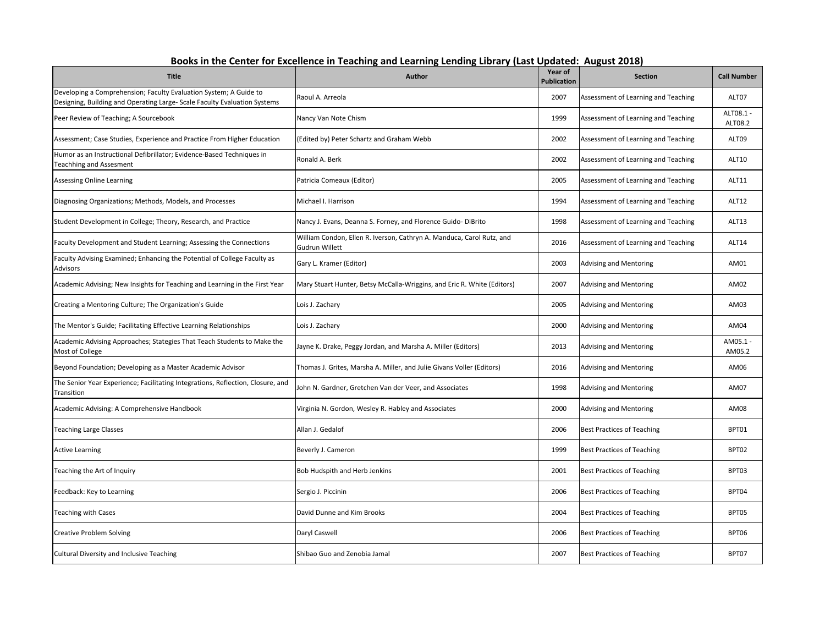| <b>Title</b>                                                                                                                                   | <b>Author</b>                                                                           | Year of<br>Publication | <b>Section</b>                      | <b>Call Number</b>   |
|------------------------------------------------------------------------------------------------------------------------------------------------|-----------------------------------------------------------------------------------------|------------------------|-------------------------------------|----------------------|
| Developing a Comprehension; Faculty Evaluation System; A Guide to<br>Designing, Building and Operating Large- Scale Faculty Evaluation Systems | Raoul A. Arreola                                                                        | 2007                   | Assessment of Learning and Teaching | ALT07                |
| Peer Review of Teaching; A Sourcebook                                                                                                          | Nancy Van Note Chism                                                                    | 1999                   | Assessment of Learning and Teaching | ALT08.1 -<br>ALT08.2 |
| Assessment; Case Studies, Experience and Practice From Higher Education                                                                        | (Edited by) Peter Schartz and Graham Webb                                               | 2002                   | Assessment of Learning and Teaching | ALT09                |
| Humor as an Instructional Defibrillator; Evidence-Based Techniques in<br><b>Teachhing and Assesment</b>                                        | Ronald A. Berk                                                                          | 2002                   | Assessment of Learning and Teaching | <b>ALT10</b>         |
| <b>Assessing Online Learning</b>                                                                                                               | Patricia Comeaux (Editor)                                                               | 2005                   | Assessment of Learning and Teaching | ALT11                |
| Diagnosing Organizations; Methods, Models, and Processes                                                                                       | Michael I. Harrison                                                                     | 1994                   | Assessment of Learning and Teaching | <b>ALT12</b>         |
| Student Development in College; Theory, Research, and Practice                                                                                 | Nancy J. Evans, Deanna S. Forney, and Florence Guido- DiBrito                           | 1998                   | Assessment of Learning and Teaching | ALT13                |
| Faculty Development and Student Learning; Assessing the Connections                                                                            | William Condon, Ellen R. Iverson, Cathryn A. Manduca, Carol Rutz, and<br>Gudrun Willett | 2016                   | Assessment of Learning and Teaching | ALT14                |
| Faculty Advising Examined; Enhancing the Potential of College Faculty as<br>Advisors                                                           | Gary L. Kramer (Editor)                                                                 | 2003                   | <b>Advising and Mentoring</b>       | AM01                 |
| Academic Advising; New Insights for Teaching and Learning in the First Year                                                                    | Mary Stuart Hunter, Betsy McCalla-Wriggins, and Eric R. White (Editors)                 | 2007                   | Advising and Mentoring              | AM02                 |
| Creating a Mentoring Culture; The Organization's Guide                                                                                         | Lois J. Zachary                                                                         | 2005                   | <b>Advising and Mentoring</b>       | AM03                 |
| The Mentor's Guide; Facilitating Effective Learning Relationships                                                                              | Lois J. Zachary                                                                         | 2000                   | Advising and Mentoring              | AM04                 |
| Academic Advising Approaches; Stategies That Teach Students to Make the<br>Most of College                                                     | Jayne K. Drake, Peggy Jordan, and Marsha A. Miller (Editors)                            | 2013                   | <b>Advising and Mentoring</b>       | AM05.1 -<br>AM05.2   |
| Beyond Foundation; Developing as a Master Academic Advisor                                                                                     | Thomas J. Grites, Marsha A. Miller, and Julie Givans Voller (Editors)                   | 2016                   | <b>Advising and Mentoring</b>       | AM06                 |
| The Senior Year Experience; Facilitating Integrations, Reflection, Closure, and<br>Transition                                                  | John N. Gardner, Gretchen Van der Veer, and Associates                                  | 1998                   | <b>Advising and Mentoring</b>       | AM07                 |
| Academic Advising: A Comprehensive Handbook                                                                                                    | Virginia N. Gordon, Wesley R. Habley and Associates                                     | 2000                   | <b>Advising and Mentoring</b>       | AM08                 |
| <b>Teaching Large Classes</b>                                                                                                                  | Allan J. Gedalof                                                                        | 2006                   | <b>Best Practices of Teaching</b>   | BPT01                |
| <b>Active Learning</b>                                                                                                                         | Beverly J. Cameron                                                                      | 1999                   | Best Practices of Teaching          | BPT02                |
| Teaching the Art of Inquiry                                                                                                                    | Bob Hudspith and Herb Jenkins                                                           | 2001                   | <b>Best Practices of Teaching</b>   | BPT03                |
| Feedback: Key to Learning                                                                                                                      | Sergio J. Piccinin                                                                      | 2006                   | <b>Best Practices of Teaching</b>   | BPT04                |
| <b>Teaching with Cases</b>                                                                                                                     | David Dunne and Kim Brooks                                                              | 2004                   | <b>Best Practices of Teaching</b>   | BPT05                |
| <b>Creative Problem Solving</b>                                                                                                                | Daryl Caswell                                                                           | 2006                   | <b>Best Practices of Teaching</b>   | BPT06                |
| <b>Cultural Diversity and Inclusive Teaching</b>                                                                                               | Shibao Guo and Zenobia Jamal                                                            | 2007                   | <b>Best Practices of Teaching</b>   | BPT07                |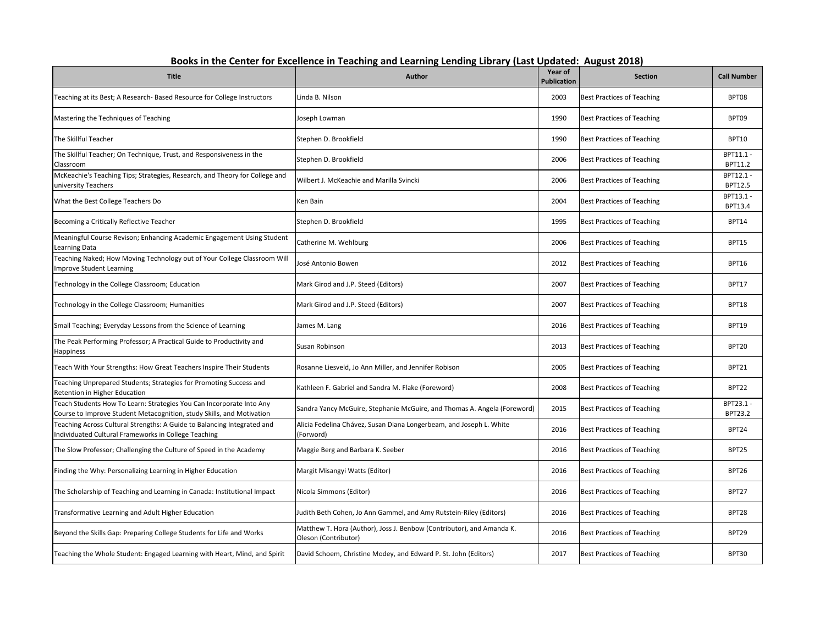| <b>Title</b>                                                                                                                                  | <u>ECHANIA EINIUI T</u><br><b>Author</b>                                                      | Year of<br><b>Publication</b> | , , , , , , , , , , , ,<br><b>Section</b> | <b>Call Number</b>   |
|-----------------------------------------------------------------------------------------------------------------------------------------------|-----------------------------------------------------------------------------------------------|-------------------------------|-------------------------------------------|----------------------|
| Teaching at its Best; A Research- Based Resource for College Instructors                                                                      | Linda B. Nilson                                                                               | 2003                          | <b>Best Practices of Teaching</b>         | BPT08                |
| Mastering the Techniques of Teaching                                                                                                          | Joseph Lowman                                                                                 | 1990                          | <b>Best Practices of Teaching</b>         | BPT09                |
| The Skillful Teacher                                                                                                                          | Stephen D. Brookfield                                                                         | 1990                          | <b>Best Practices of Teaching</b>         | <b>BPT10</b>         |
| The Skillful Teacher; On Technique, Trust, and Responsiveness in the<br>Classroom                                                             | Stephen D. Brookfield                                                                         | 2006                          | <b>Best Practices of Teaching</b>         | BPT11.1 -<br>BPT11.2 |
| McKeachie's Teaching Tips; Strategies, Research, and Theory for College and<br>university Teachers                                            | Wilbert J. McKeachie and Marilla Svincki                                                      | 2006                          | <b>Best Practices of Teaching</b>         | BPT12.1 -<br>BPT12.5 |
| What the Best College Teachers Do                                                                                                             | Ken Bain                                                                                      | 2004                          | <b>Best Practices of Teaching</b>         | BPT13.1 -<br>BPT13.4 |
| Becoming a Critically Reflective Teacher                                                                                                      | Stephen D. Brookfield                                                                         | 1995                          | <b>Best Practices of Teaching</b>         | BPT14                |
| Meaningful Course Revison; Enhancing Academic Engagement Using Student<br>Learning Data                                                       | Catherine M. Wehlburg                                                                         | 2006                          | <b>Best Practices of Teaching</b>         | BPT15                |
| Teaching Naked; How Moving Technology out of Your College Classroom Will<br>Improve Student Learning                                          | José Antonio Bowen                                                                            | 2012                          | <b>Best Practices of Teaching</b>         | <b>BPT16</b>         |
| Technology in the College Classroom; Education                                                                                                | Mark Girod and J.P. Steed (Editors)                                                           | 2007                          | <b>Best Practices of Teaching</b>         | BPT17                |
| Technology in the College Classroom; Humanities                                                                                               | Mark Girod and J.P. Steed (Editors)                                                           | 2007                          | <b>Best Practices of Teaching</b>         | BPT18                |
| Small Teaching; Everyday Lessons from the Science of Learning                                                                                 | James M. Lang                                                                                 | 2016                          | <b>Best Practices of Teaching</b>         | BPT19                |
| The Peak Performing Professor; A Practical Guide to Productivity and<br>Happiness                                                             | Susan Robinson                                                                                | 2013                          | <b>Best Practices of Teaching</b>         | BPT <sub>20</sub>    |
| Teach With Your Strengths: How Great Teachers Inspire Their Students                                                                          | Rosanne Liesveld, Jo Ann Miller, and Jennifer Robison                                         | 2005                          | <b>Best Practices of Teaching</b>         | BPT21                |
| Teaching Unprepared Students; Strategies for Promoting Success and<br>Retention in Higher Education                                           | Kathleen F. Gabriel and Sandra M. Flake (Foreword)                                            | 2008                          | <b>Best Practices of Teaching</b>         | BPT22                |
| Teach Students How To Learn: Strategies You Can Incorporate Into Any<br>Course to Improve Student Metacognition, study Skills, and Motivation | Sandra Yancy McGuire, Stephanie McGuire, and Thomas A. Angela (Foreword)                      | 2015                          | <b>Best Practices of Teaching</b>         | BPT23.1 -<br>BPT23.2 |
| Teaching Across Cultural Strengths: A Guide to Balancing Integrated and<br>Individuated Cultural Frameworks in College Teaching               | Alicia Fedelina Chávez, Susan Diana Longerbeam, and Joseph L. White<br>(Forword)              | 2016                          | <b>Best Practices of Teaching</b>         | BPT24                |
| The Slow Professor; Challenging the Culture of Speed in the Academy                                                                           | Maggie Berg and Barbara K. Seeber                                                             | 2016                          | <b>Best Practices of Teaching</b>         | BPT25                |
| Finding the Why: Personalizing Learning in Higher Education                                                                                   | Margit Misangyi Watts (Editor)                                                                | 2016                          | <b>Best Practices of Teaching</b>         | BPT26                |
| The Scholarship of Teaching and Learning in Canada: Institutional Impact                                                                      | Nicola Simmons (Editor)                                                                       | 2016                          | <b>Best Practices of Teaching</b>         | BPT27                |
| Transformative Learning and Adult Higher Education                                                                                            | Judith Beth Cohen, Jo Ann Gammel, and Amy Rutstein-Riley (Editors)                            | 2016                          | <b>Best Practices of Teaching</b>         | BPT28                |
| Beyond the Skills Gap: Preparing College Students for Life and Works                                                                          | Matthew T. Hora (Author), Joss J. Benbow (Contributor), and Amanda K.<br>Oleson (Contributor) | 2016                          | <b>Best Practices of Teaching</b>         | BPT29                |
| Teaching the Whole Student: Engaged Learning with Heart, Mind, and Spirit                                                                     | David Schoem, Christine Modey, and Edward P. St. John (Editors)                               | 2017                          | <b>Best Practices of Teaching</b>         | BPT30                |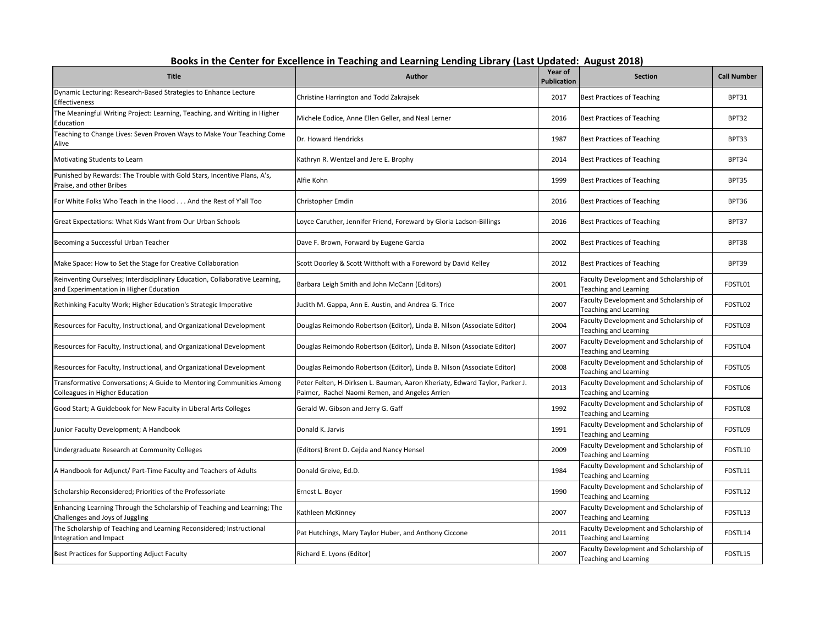| ייי ניוכ ככוונכו וטו באל<br><b>Title</b>                                                                               | LUIUILE LIVIUI<br>Author                                                                                                      | Year of<br><b>Publication</b> | <b>AUSUJL LUI</b><br><b>Section</b>                                    | <b>Call Number</b> |
|------------------------------------------------------------------------------------------------------------------------|-------------------------------------------------------------------------------------------------------------------------------|-------------------------------|------------------------------------------------------------------------|--------------------|
| Dynamic Lecturing: Research-Based Strategies to Enhance Lecture<br>Effectiveness                                       | Christine Harrington and Todd Zakrajsek                                                                                       | 2017                          | <b>Best Practices of Teaching</b>                                      | BPT31              |
| The Meaningful Writing Project: Learning, Teaching, and Writing in Higher<br>Education                                 | Michele Eodice, Anne Ellen Geller, and Neal Lerner                                                                            | 2016                          | Best Practices of Teaching                                             | BPT32              |
| Teaching to Change Lives: Seven Proven Ways to Make Your Teaching Come<br>Alive                                        | Dr. Howard Hendricks                                                                                                          | 1987                          | <b>Best Practices of Teaching</b>                                      | BPT33              |
| Motivating Students to Learn                                                                                           | Kathryn R. Wentzel and Jere E. Brophy                                                                                         | 2014                          | <b>Best Practices of Teaching</b>                                      | BPT34              |
| Punished by Rewards: The Trouble with Gold Stars, Incentive Plans, A's,<br>Praise, and other Bribes                    | Alfie Kohn                                                                                                                    | 1999                          | <b>Best Practices of Teaching</b>                                      | BPT35              |
| For White Folks Who Teach in the Hood And the Rest of Y'all Too                                                        | Christopher Emdin                                                                                                             | 2016                          | <b>Best Practices of Teaching</b>                                      | BPT36              |
| Great Expectations: What Kids Want from Our Urban Schools                                                              | Loyce Caruther, Jennifer Friend, Foreward by Gloria Ladson-Billings                                                           | 2016                          | <b>Best Practices of Teaching</b>                                      | BPT37              |
| Becoming a Successful Urban Teacher                                                                                    | Dave F. Brown, Forward by Eugene Garcia                                                                                       | 2002                          | <b>Best Practices of Teaching</b>                                      | BPT38              |
| Make Space: How to Set the Stage for Creative Collaboration                                                            | Scott Doorley & Scott Witthoft with a Foreword by David Kelley                                                                | 2012                          | Best Practices of Teaching                                             | BPT39              |
| Reinventing Ourselves; Interdisciplinary Education, Collaborative Learning,<br>and Experimentation in Higher Education | Barbara Leigh Smith and John McCann (Editors)                                                                                 | 2001                          | Faculty Development and Scholarship of<br><b>Teaching and Learning</b> | FDSTL01            |
| Rethinking Faculty Work; Higher Education's Strategic Imperative                                                       | Judith M. Gappa, Ann E. Austin, and Andrea G. Trice                                                                           | 2007                          | Faculty Development and Scholarship of<br>Teaching and Learning        | FDSTL02            |
| Resources for Faculty, Instructional, and Organizational Development                                                   | Douglas Reimondo Robertson (Editor), Linda B. Nilson (Associate Editor)                                                       | 2004                          | Faculty Development and Scholarship of<br>Teaching and Learning        | FDSTL03            |
| Resources for Faculty, Instructional, and Organizational Development                                                   | Douglas Reimondo Robertson (Editor), Linda B. Nilson (Associate Editor)                                                       | 2007                          | Faculty Development and Scholarship of<br><b>Teaching and Learning</b> | FDSTL04            |
| Resources for Faculty, Instructional, and Organizational Development                                                   | Douglas Reimondo Robertson (Editor), Linda B. Nilson (Associate Editor)                                                       | 2008                          | Faculty Development and Scholarship of<br><b>Teaching and Learning</b> | FDSTL05            |
| Transformative Conversations; A Guide to Mentoring Communities Among<br>Colleagues in Higher Education                 | Peter Felten, H-Dirksen L. Bauman, Aaron Kheriaty, Edward Taylor, Parker J.<br>Palmer, Rachel Naomi Remen, and Angeles Arrien | 2013                          | Faculty Development and Scholarship of<br><b>Teaching and Learning</b> | FDSTL06            |
| Good Start; A Guidebook for New Faculty in Liberal Arts Colleges                                                       | Gerald W. Gibson and Jerry G. Gaff                                                                                            | 1992                          | Faculty Development and Scholarship of<br><b>Teaching and Learning</b> | FDSTL08            |
| Junior Faculty Development; A Handbook                                                                                 | Donald K. Jarvis                                                                                                              | 1991                          | Faculty Development and Scholarship of<br>Teaching and Learning        | FDSTL09            |
| Undergraduate Research at Community Colleges                                                                           | (Editors) Brent D. Cejda and Nancy Hensel                                                                                     | 2009                          | Faculty Development and Scholarship of<br><b>Teaching and Learning</b> | FDSTL10            |
| A Handbook for Adjunct/ Part-Time Faculty and Teachers of Adults                                                       | Donald Greive, Ed.D.                                                                                                          | 1984                          | Faculty Development and Scholarship of<br><b>Teaching and Learning</b> | FDSTL11            |
| Scholarship Reconsidered; Priorities of the Professoriate                                                              | Ernest L. Boyer                                                                                                               | 1990                          | Faculty Development and Scholarship of<br>Teaching and Learning        | FDSTL12            |
| Enhancing Learning Through the Scholarship of Teaching and Learning; The<br>Challenges and Joys of Juggling            | Kathleen McKinney                                                                                                             | 2007                          | Faculty Development and Scholarship of<br>Teaching and Learning        | FDSTL13            |
| The Scholarship of Teaching and Learning Reconsidered; Instructional<br>Integration and Impact                         | Pat Hutchings, Mary Taylor Huber, and Anthony Ciccone                                                                         | 2011                          | Faculty Development and Scholarship of<br><b>Teaching and Learning</b> | FDSTL14            |
| Best Practices for Supporting Adjuct Faculty                                                                           | Richard E. Lyons (Editor)                                                                                                     | 2007                          | Faculty Development and Scholarship of<br><b>Teaching and Learning</b> | FDSTL15            |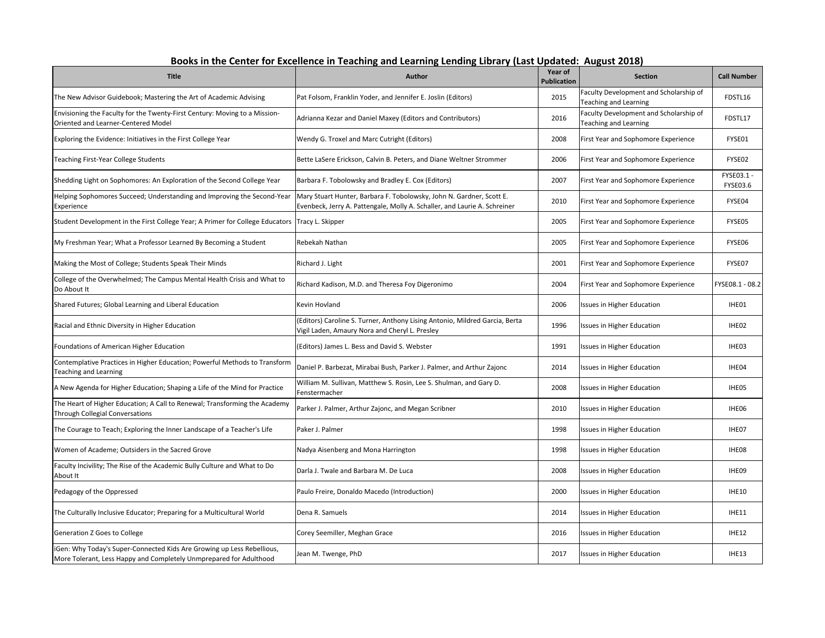| Books in the Center for Excellence in Teaching and Learning Lending Library (Last Updated: August 2018) |
|---------------------------------------------------------------------------------------------------------|
|---------------------------------------------------------------------------------------------------------|

| <b>Title</b>                                                                                                                                 | <b>Author</b>                                                                                                                                     | Year of<br><b>Publication</b> | <b>Section</b>                                                  | <b>Call Number</b>     |
|----------------------------------------------------------------------------------------------------------------------------------------------|---------------------------------------------------------------------------------------------------------------------------------------------------|-------------------------------|-----------------------------------------------------------------|------------------------|
| The New Advisor Guidebook; Mastering the Art of Academic Advising                                                                            | Pat Folsom, Franklin Yoder, and Jennifer E. Joslin (Editors)                                                                                      | 2015                          | Faculty Development and Scholarship of<br>Teaching and Learning | FDSTL16                |
| Envisioning the Faculty for the Twenty-First Century: Moving to a Mission-<br>Oriented and Learner-Centered Model                            | Adrianna Kezar and Daniel Maxey (Editors and Contributors)                                                                                        | 2016                          | Faculty Development and Scholarship of<br>Teaching and Learning | FDSTL17                |
| Exploring the Evidence: Initiatives in the First College Year                                                                                | Wendy G. Troxel and Marc Cutright (Editors)                                                                                                       | 2008                          | First Year and Sophomore Experience                             | FYSE01                 |
| Teaching First-Year College Students                                                                                                         | Bette LaSere Erickson, Calvin B. Peters, and Diane Weltner Strommer                                                                               | 2006                          | First Year and Sophomore Experience                             | FYSE02                 |
| Shedding Light on Sophomores: An Exploration of the Second College Year                                                                      | Barbara F. Tobolowsky and Bradley E. Cox (Editors)                                                                                                | 2007                          | First Year and Sophomore Experience                             | FYSE03.1 -<br>FYSE03.6 |
| Helping Sophomores Succeed; Understanding and Improving the Second-Year<br>Experience                                                        | Mary Stuart Hunter, Barbara F. Tobolowsky, John N. Gardner, Scott E.<br>Evenbeck, Jerry A. Pattengale, Molly A. Schaller, and Laurie A. Schreiner | 2010                          | First Year and Sophomore Experience                             | FYSE04                 |
| Student Development in the First College Year; A Primer for College Educators                                                                | Tracy L. Skipper                                                                                                                                  | 2005                          | First Year and Sophomore Experience                             | FYSE05                 |
| My Freshman Year; What a Professor Learned By Becoming a Student                                                                             | Rebekah Nathan                                                                                                                                    | 2005                          | First Year and Sophomore Experience                             | FYSE06                 |
| Making the Most of College; Students Speak Their Minds                                                                                       | Richard J. Light                                                                                                                                  | 2001                          | First Year and Sophomore Experience                             | FYSE07                 |
| College of the Overwhelmed; The Campus Mental Health Crisis and What to<br>Do About It                                                       | Richard Kadison, M.D. and Theresa Foy Digeronimo                                                                                                  | 2004                          | First Year and Sophomore Experience                             | FYSE08.1 - 08.2        |
| Shared Futures; Global Learning and Liberal Education                                                                                        | Kevin Hovland                                                                                                                                     | 2006                          | <b>Issues in Higher Education</b>                               | IHE01                  |
| Racial and Ethnic Diversity in Higher Education                                                                                              | (Editors) Caroline S. Turner, Anthony Lising Antonio, Mildred Garcia, Berta<br>Vigil Laden, Amaury Nora and Cheryl L. Presley                     | 1996                          | <b>Issues in Higher Education</b>                               | IHE02                  |
| Foundations of American Higher Education                                                                                                     | (Editors) James L. Bess and David S. Webster                                                                                                      | 1991                          | <b>Issues in Higher Education</b>                               | IHE03                  |
| Contemplative Practices in Higher Education; Powerful Methods to Transform<br><b>Teaching and Learning</b>                                   | Daniel P. Barbezat, Mirabai Bush, Parker J. Palmer, and Arthur Zajonc                                                                             | 2014                          | <b>Issues in Higher Education</b>                               | IHE04                  |
| A New Agenda for Higher Education; Shaping a Life of the Mind for Practice                                                                   | William M. Sullivan, Matthew S. Rosin, Lee S. Shulman, and Gary D.<br>Fenstermacher                                                               | 2008                          | <b>Issues in Higher Education</b>                               | IHE05                  |
| The Heart of Higher Education; A Call to Renewal; Transforming the Academy<br><b>Through Collegial Conversations</b>                         | Parker J. Palmer, Arthur Zajonc, and Megan Scribner                                                                                               | 2010                          | <b>Issues in Higher Education</b>                               | IHE06                  |
| The Courage to Teach; Exploring the Inner Landscape of a Teacher's Life                                                                      | Paker J. Palmer                                                                                                                                   | 1998                          | <b>Issues in Higher Education</b>                               | IHE07                  |
| Women of Academe; Outsiders in the Sacred Grove                                                                                              | Nadya Aisenberg and Mona Harrington                                                                                                               | 1998                          | <b>Issues in Higher Education</b>                               | IHE08                  |
| Faculty Incivility; The Rise of the Academic Bully Culture and What to Do<br>About It                                                        | Darla J. Twale and Barbara M. De Luca                                                                                                             | 2008                          | <b>Issues in Higher Education</b>                               | IHE09                  |
| Pedagogy of the Oppressed                                                                                                                    | Paulo Freire, Donaldo Macedo (Introduction)                                                                                                       | 2000                          | <b>Issues in Higher Education</b>                               | <b>IHE10</b>           |
| The Culturally Inclusive Educator; Preparing for a Multicultural World                                                                       | Dena R. Samuels                                                                                                                                   | 2014                          | <b>Issues in Higher Education</b>                               | <b>IHE11</b>           |
| <b>Generation Z Goes to College</b>                                                                                                          | Corey Seemiller, Meghan Grace                                                                                                                     | 2016                          | Issues in Higher Education                                      | <b>IHE12</b>           |
| iGen: Why Today's Super-Connected Kids Are Growing up Less Rebellious,<br>More Tolerant, Less Happy and Completely Unmprepared for Adulthood | Jean M. Twenge, PhD                                                                                                                               | 2017                          | Issues in Higher Education                                      | <b>IHE13</b>           |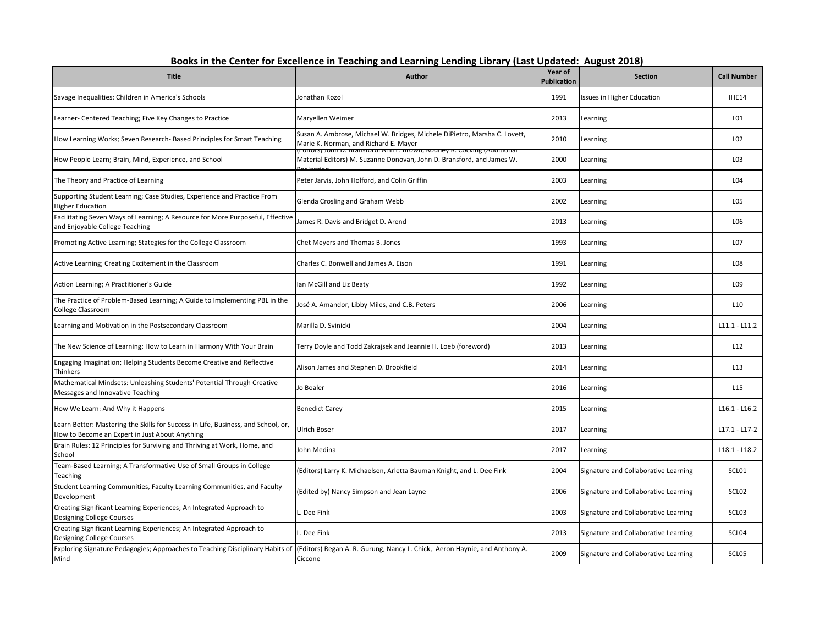| <b>Title</b>                                                                                                                        | <b>Author</b>                                                                                                                                    | Year of<br><b>Publication</b> | <b>Section</b>                       | <b>Call Number</b> |
|-------------------------------------------------------------------------------------------------------------------------------------|--------------------------------------------------------------------------------------------------------------------------------------------------|-------------------------------|--------------------------------------|--------------------|
| Savage Inequalities: Children in America's Schools                                                                                  | Jonathan Kozol                                                                                                                                   | 1991                          | Issues in Higher Education           | IHE14              |
| Learner- Centered Teaching; Five Key Changes to Practice                                                                            | Maryellen Weimer                                                                                                                                 | 2013                          | Learning                             | LO1                |
| How Learning Works; Seven Research- Based Principles for Smart Teaching                                                             | Susan A. Ambrose, Michael W. Bridges, Michele DiPietro, Marsha C. Lovett,<br>Marie K. Norman, and Richard E. Mayer                               | 2010                          | Learning                             | L02                |
| How People Learn; Brain, Mind, Experience, and School                                                                               | cuitors) John D. Bransfordi Ann L. Brown, Rouney R. Cocking (Additional<br>Material Editors) M. Suzanne Donovan, John D. Bransford, and James W. | 2000                          | Learning                             | LO3                |
| The Theory and Practice of Learning                                                                                                 | Peter Jarvis, John Holford, and Colin Griffin                                                                                                    | 2003                          | Learning                             | L04                |
| Supporting Student Learning; Case Studies, Experience and Practice From<br><b>Higher Education</b>                                  | Glenda Crosling and Graham Webb                                                                                                                  | 2002                          | Learning                             | LO5                |
| Facilitating Seven Ways of Learning; A Resource for More Purposeful, Effective<br>and Enjoyable College Teaching                    | James R. Davis and Bridget D. Arend                                                                                                              | 2013                          | Learning                             | L06                |
| Promoting Active Learning; Stategies for the College Classroom                                                                      | Chet Meyers and Thomas B. Jones                                                                                                                  | 1993                          | Learning                             | L07                |
| Active Learning; Creating Excitement in the Classroom                                                                               | Charles C. Bonwell and James A. Eison                                                                                                            | 1991                          | Learning                             | L08                |
| Action Learning; A Practitioner's Guide                                                                                             | Ian McGill and Liz Beaty                                                                                                                         | 1992                          | Learning                             | L09                |
| The Practice of Problem-Based Learning; A Guide to Implementing PBL in the<br>College Classroom                                     | José A. Amandor, Libby Miles, and C.B. Peters                                                                                                    | 2006                          | Learning                             | L <sub>10</sub>    |
| Learning and Motivation in the Postsecondary Classroom                                                                              | Marilla D. Svinicki                                                                                                                              | 2004                          | Learning                             | $L11.1 - L11.2$    |
| The New Science of Learning; How to Learn in Harmony With Your Brain                                                                | Terry Doyle and Todd Zakrajsek and Jeannie H. Loeb (foreword)                                                                                    | 2013                          | Learning                             | L12                |
| Engaging Imagination; Helping Students Become Creative and Reflective<br>Thinkers                                                   | Alison James and Stephen D. Brookfield                                                                                                           | 2014                          | Learning                             | L13                |
| Mathematical Mindsets: Unleashing Students' Potential Through Creative<br>Messages and Innovative Teaching                          | Jo Boaler                                                                                                                                        | 2016                          | Learning                             | L <sub>15</sub>    |
| How We Learn: And Why it Happens                                                                                                    | <b>Benedict Carey</b>                                                                                                                            | 2015                          | Learning                             | $L16.1 - L16.2$    |
| Learn Better: Mastering the Skills for Success in Life, Business, and School, or,<br>How to Become an Expert in Just About Anything | Ulrich Boser                                                                                                                                     | 2017                          | Learning                             | $L17.1 - L17-2$    |
| Brain Rules: 12 Principles for Surviving and Thriving at Work, Home, and<br>School                                                  | John Medina                                                                                                                                      | 2017                          | Learning                             | $L18.1 - L18.2$    |
| Team-Based Learning; A Transformative Use of Small Groups in College<br>Teaching                                                    | (Editors) Larry K. Michaelsen, Arletta Bauman Knight, and L. Dee Fink                                                                            | 2004                          | Signature and Collaborative Learning | SCL01              |
| Student Learning Communities, Faculty Learning Communities, and Faculty<br>Development                                              | (Edited by) Nancy Simpson and Jean Layne                                                                                                         | 2006                          | Signature and Collaborative Learning | SCL <sub>02</sub>  |
| Creating Significant Learning Experiences; An Integrated Approach to<br>Designing College Courses                                   | Dee Fink                                                                                                                                         | 2003                          | Signature and Collaborative Learning | SCL <sub>03</sub>  |
| Creating Significant Learning Experiences; An Integrated Approach to<br>Designing College Courses                                   | L. Dee Fink                                                                                                                                      | 2013                          | Signature and Collaborative Learning | SCL04              |
| Exploring Signature Pedagogies; Approaches to Teaching Disciplinary Habits of<br>Mind                                               | (Editors) Regan A. R. Gurung, Nancy L. Chick, Aeron Haynie, and Anthony A.<br>Ciccone                                                            | 2009                          | Signature and Collaborative Learning | SCL05              |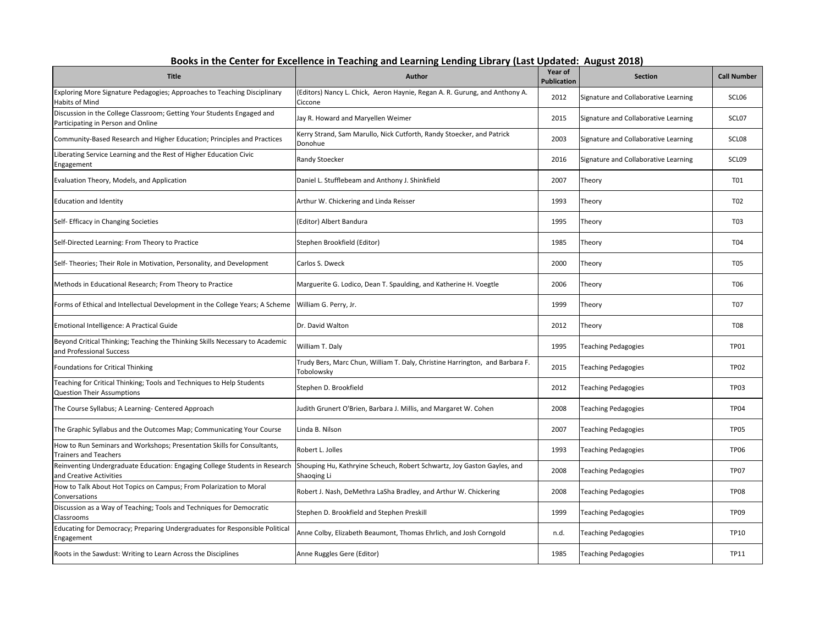|                                                                                                              | DUUNS III LIIE CEIILEI TUI EACEIIEIICE III TEACHING ANU LEATHING LENUNG LIDIATY (LASL OPUALEU.  AUGUSL ZULO |                                      |                                      |                    |  |
|--------------------------------------------------------------------------------------------------------------|-------------------------------------------------------------------------------------------------------------|--------------------------------------|--------------------------------------|--------------------|--|
| <b>Title</b>                                                                                                 | <b>Author</b>                                                                                               | <b>Year of</b><br><b>Publication</b> | <b>Section</b>                       | <b>Call Number</b> |  |
| Exploring More Signature Pedagogies; Approaches to Teaching Disciplinary<br>Habits of Mind                   | (Editors) Nancy L. Chick, Aeron Haynie, Regan A. R. Gurung, and Anthony A.<br>Ciccone                       | 2012                                 | Signature and Collaborative Learning | SCLO6              |  |
| Discussion in the College Classroom; Getting Your Students Engaged and<br>Participating in Person and Online | Jay R. Howard and Maryellen Weimer                                                                          | 2015                                 | Signature and Collaborative Learning | SCL07              |  |
| Community-Based Research and Higher Education; Principles and Practices                                      | Kerry Strand, Sam Marullo, Nick Cutforth, Randy Stoecker, and Patrick<br>Donohue                            | 2003                                 | Signature and Collaborative Learning | SCLO <sub>8</sub>  |  |
| Liberating Service Learning and the Rest of Higher Education Civic<br>Engagement                             | Randy Stoecker                                                                                              | 2016                                 | Signature and Collaborative Learning | SCL09              |  |
| Evaluation Theory, Models, and Application                                                                   | Daniel L. Stufflebeam and Anthony J. Shinkfield                                                             | 2007                                 | Theory                               | T01                |  |
| <b>Education and Identity</b>                                                                                | Arthur W. Chickering and Linda Reisser                                                                      | 1993                                 | Theory                               | T <sub>02</sub>    |  |
| Self- Efficacy in Changing Societies                                                                         | (Editor) Albert Bandura                                                                                     | 1995                                 | Theory                               | T <sub>0</sub> 3   |  |
| Self-Directed Learning: From Theory to Practice                                                              | Stephen Brookfield (Editor)                                                                                 | 1985                                 | Theory                               | T04                |  |
| Self- Theories; Their Role in Motivation, Personality, and Development                                       | Carlos S. Dweck                                                                                             | 2000                                 | Theory                               | <b>T05</b>         |  |
| Methods in Educational Research; From Theory to Practice                                                     | Marguerite G. Lodico, Dean T. Spaulding, and Katherine H. Voegtle                                           | 2006                                 | Theory                               | <b>T06</b>         |  |
| Forms of Ethical and Intellectual Development in the College Years; A Scheme                                 | William G. Perry, Jr.                                                                                       | 1999                                 | Theory                               | <b>T07</b>         |  |
| Emotional Intelligence: A Practical Guide                                                                    | Dr. David Walton                                                                                            | 2012                                 | Theory                               | <b>T08</b>         |  |
| Beyond Critical Thinking; Teaching the Thinking Skills Necessary to Academic<br>and Professional Success     | William T. Daly                                                                                             | 1995                                 | <b>Teaching Pedagogies</b>           | <b>TP01</b>        |  |
| <b>Foundations for Critical Thinking</b>                                                                     | Trudy Bers, Marc Chun, William T. Daly, Christine Harrington, and Barbara F.<br>Tobolowsky                  | 2015                                 | <b>Teaching Pedagogies</b>           | <b>TP02</b>        |  |
| Teaching for Critical Thinking; Tools and Techniques to Help Students<br><b>Question Their Assumptions</b>   | Stephen D. Brookfield                                                                                       | 2012                                 | Teaching Pedagogies                  | <b>TP03</b>        |  |
| The Course Syllabus; A Learning- Centered Approach                                                           | Judith Grunert O'Brien, Barbara J. Millis, and Margaret W. Cohen                                            | 2008                                 | <b>Teaching Pedagogies</b>           | <b>TP04</b>        |  |
| The Graphic Syllabus and the Outcomes Map; Communicating Your Course                                         | Linda B. Nilson                                                                                             | 2007                                 | Teaching Pedagogies                  | <b>TP05</b>        |  |
| How to Run Seminars and Workshops; Presentation Skills for Consultants,<br><b>Trainers and Teachers</b>      | Robert L. Jolles                                                                                            | 1993                                 | <b>Teaching Pedagogies</b>           | <b>TP06</b>        |  |
| Reinventing Undergraduate Education: Engaging College Students in Research<br>and Creative Activities        | Shouping Hu, Kathryine Scheuch, Robert Schwartz, Joy Gaston Gayles, and<br>Shaoqing Li                      | 2008                                 | <b>Teaching Pedagogies</b>           | <b>TP07</b>        |  |
| How to Talk About Hot Topics on Campus; From Polarization to Moral<br>Conversations                          | Robert J. Nash, DeMethra LaSha Bradley, and Arthur W. Chickering                                            | 2008                                 | <b>Teaching Pedagogies</b>           | <b>TP08</b>        |  |
| Discussion as a Way of Teaching; Tools and Techniques for Democratic<br>Classrooms                           | Stephen D. Brookfield and Stephen Preskill                                                                  | 1999                                 | <b>Teaching Pedagogies</b>           | <b>TP09</b>        |  |
| Educating for Democracy; Preparing Undergraduates for Responsible Political<br>Engagement                    | Anne Colby, Elizabeth Beaumont, Thomas Ehrlich, and Josh Corngold                                           | n.d.                                 | Teaching Pedagogies                  | <b>TP10</b>        |  |
| Roots in the Sawdust: Writing to Learn Across the Disciplines                                                | Anne Ruggles Gere (Editor)                                                                                  | 1985                                 | <b>Teaching Pedagogies</b>           | <b>TP11</b>        |  |